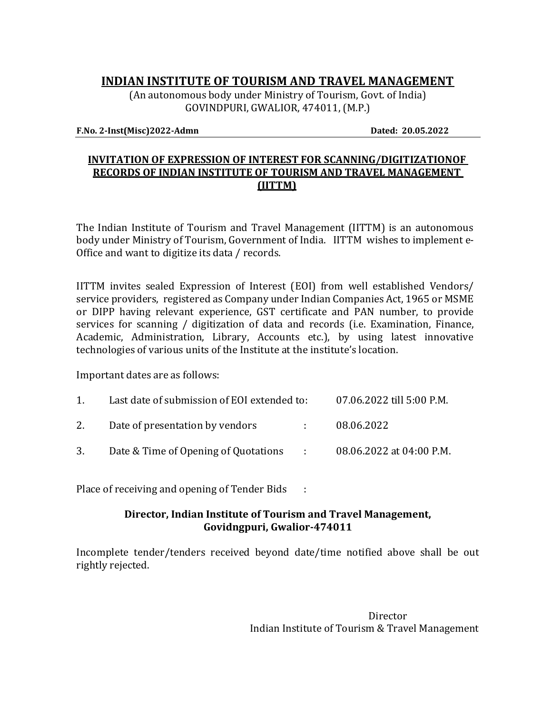# **INDIAN INSTITUTE OF TOURISM AND TRAVEL MANAGEMENT**

(An autonomous body under Ministry of Tourism, Govt. of India) GOVINDPURI, GWALIOR, 474011, (M.P.)

#### **F.No. 2-Inst(Misc)2022-Admn Dated: 20.05.2022**

#### **INVITATION OF EXPRESSION OF INTEREST FOR SCANNING/DIGITIZATIONOF RECORDS OF INDIAN INSTITUTE OF TOURISM AND TRAVEL MANAGEMENT (IITTM)**

The Indian Institute of Tourism and Travel Management (IITTM) is an autonomous body under Ministry of Tourism, Government of India. IITTM wishes to implement e-Office and want to digitize its data / records.

IITTM invites sealed Expression of Interest (EOI) from well established Vendors/ service providers, registered as Company under Indian Companies Act, 1965 or MSME or DIPP having relevant experience, GST certificate and PAN number, to provide services for scanning / digitization of data and records (i.e. Examination, Finance, Academic, Administration, Library, Accounts etc.), by using latest innovative technologies of various units of the Institute at the institute's location.

Important dates are as follows:

| 1. | Last date of submission of EOI extended to:                        | 07.06.2022 till 5:00 P.M.  |            |  |
|----|--------------------------------------------------------------------|----------------------------|------------|--|
|    | 2. Date of presentation by vendors                                 | $\mathcal{L}^{\text{max}}$ | 08.06.2022 |  |
|    | 3. Date & Time of Opening of Quotations : 08.06.2022 at 04:00 P.M. |                            |            |  |

Place of receiving and opening of Tender Bids :

#### **Director, Indian Institute of Tourism and Travel Management, Govidngpuri, Gwalior-474011**

Incomplete tender/tenders received beyond date/time notified above shall be out rightly rejected.

> **Director** Indian Institute of Tourism & Travel Management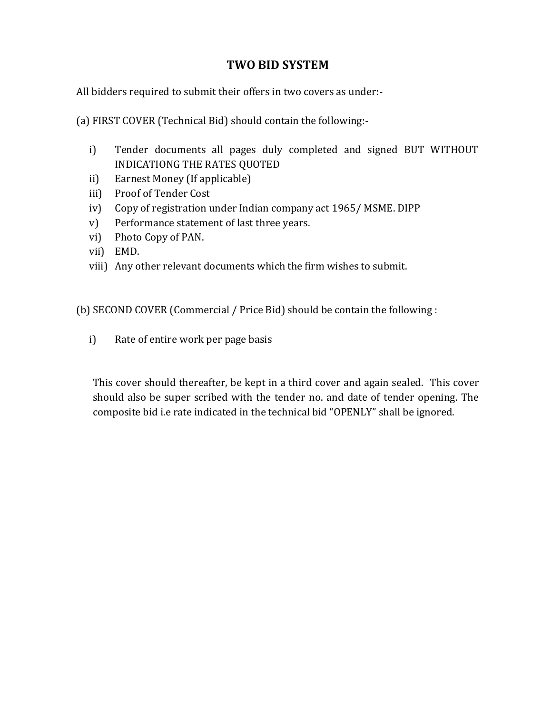# **TWO BID SYSTEM**

All bidders required to submit their offers in two covers as under:-

(a) FIRST COVER (Technical Bid) should contain the following:-

- i) Tender documents all pages duly completed and signed BUT WITHOUT INDICATIONG THE RATES QUOTED
- ii) Earnest Money (If applicable)
- iii) Proof of Tender Cost
- iv) Copy of registration under Indian company act 1965/ MSME. DIPP
- v) Performance statement of last three years.
- vi) Photo Copy of PAN.
- vii) EMD.
- viii) Any other relevant documents which the firm wishes to submit.

(b) SECOND COVER (Commercial / Price Bid) should be contain the following :

i) Rate of entire work per page basis

This cover should thereafter, be kept in a third cover and again sealed. This cover should also be super scribed with the tender no. and date of tender opening. The composite bid i.e rate indicated in the technical bid "OPENLY" shall be ignored.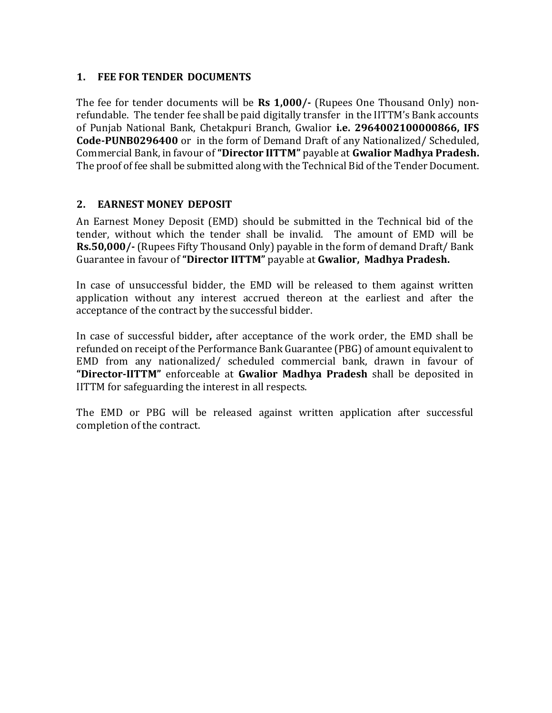#### **1. FEE FOR TENDER DOCUMENTS**

The fee for tender documents will be **Rs 1,000/-** (Rupees One Thousand Only) nonrefundable. The tender fee shall be paid digitally transfer in the IITTM's Bank accounts of Punjab National Bank, Chetakpuri Branch, Gwalior **i.e. 2964002100000866, IFS Code-PUNB0296400** or in the form of Demand Draft of any Nationalized/ Scheduled, Commercial Bank, in favour of **"Director IITTM"** payable at **Gwalior Madhya Pradesh.**  The proof of fee shall be submitted along with the Technical Bid of the Tender Document.

#### **2. EARNEST MONEY DEPOSIT**

An Earnest Money Deposit (EMD) should be submitted in the Technical bid of the tender, without which the tender shall be invalid. The amount of EMD will be **Rs.50,000/-** (Rupees Fifty Thousand Only) payable in the form of demand Draft/ Bank Guarantee in favour of **"Director IITTM"** payable at **Gwalior, Madhya Pradesh.**

In case of unsuccessful bidder, the EMD will be released to them against written application without any interest accrued thereon at the earliest and after the acceptance of the contract by the successful bidder.

In case of successful bidder**,** after acceptance of the work order, the EMD shall be refunded on receipt of the Performance Bank Guarantee (PBG) of amount equivalent to EMD from any nationalized/ scheduled commercial bank, drawn in favour of **"Director-IITTM"** enforceable at **Gwalior Madhya Pradesh** shall be deposited in IITTM for safeguarding the interest in all respects.

The EMD or PBG will be released against written application after successful completion of the contract.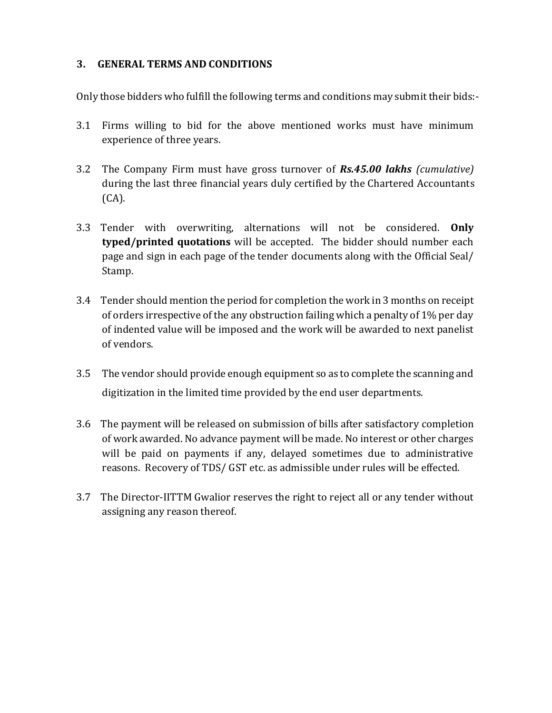#### **3. GENERAL TERMS AND CONDITIONS**

Only those bidders who fulfill the following terms and conditions may submit their bids:-

- 3.1 Firms willing to bid for the above mentioned works must have minimum experience of three years.
- 3.2 The Company Firm must have gross turnover of *Rs.45.00 lakhs (cumulative)* during the last three financial years duly certified by the Chartered Accountants (CA).
- 3.3 Tender with overwriting, alternations will not be considered. **Only typed/printed quotations** will be accepted. The bidder should number each page and sign in each page of the tender documents along with the Official Seal/ Stamp.
- 3.4 Tender should mention the period for completion the work in 3 months on receipt of orders irrespective of the any obstruction failing which a penalty of 1% per day of indented value will be imposed and the work will be awarded to next panelist of vendors.
- 3.5 The vendor should provide enough equipment so as to complete the scanning and digitization in the limited time provided by the end user departments.
- 3.6 The payment will be released on submission of bills after satisfactory completion of work awarded. No advance payment will be made. No interest or other charges will be paid on payments if any, delayed sometimes due to administrative reasons. Recovery of TDS/ GST etc. as admissible under rules will be effected.
- 3.7 The Director-IITTM Gwalior reserves the right to reject all or any tender without assigning any reason thereof.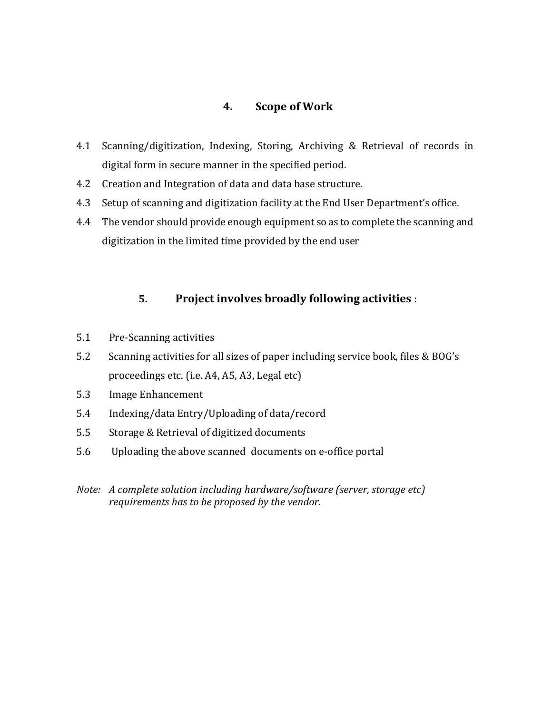## **4. Scope of Work**

- 4.1 Scanning/digitization, Indexing, Storing, Archiving & Retrieval of records in digital form in secure manner in the specified period.
- 4.2 Creation and Integration of data and data base structure.
- 4.3 Setup of scanning and digitization facility at the End User Department's office.
- 4.4 The vendor should provide enough equipment so as to complete the scanning and digitization in the limited time provided by the end user

#### **5. Project involves broadly following activities** :

- 5.1 Pre-Scanning activities
- 5.2 Scanning activities for all sizes of paper including service book, files & BOG's proceedings etc. (i.e. A4, A5, A3, Legal etc)
- 5.3 Image Enhancement
- 5.4 Indexing/data Entry/Uploading of data/record
- 5.5 Storage & Retrieval of digitized documents
- 5.6 Uploading the above scanned documents on e-office portal
- *Note: A complete solution including hardware/software (server, storage etc) requirements has to be proposed by the vendor.*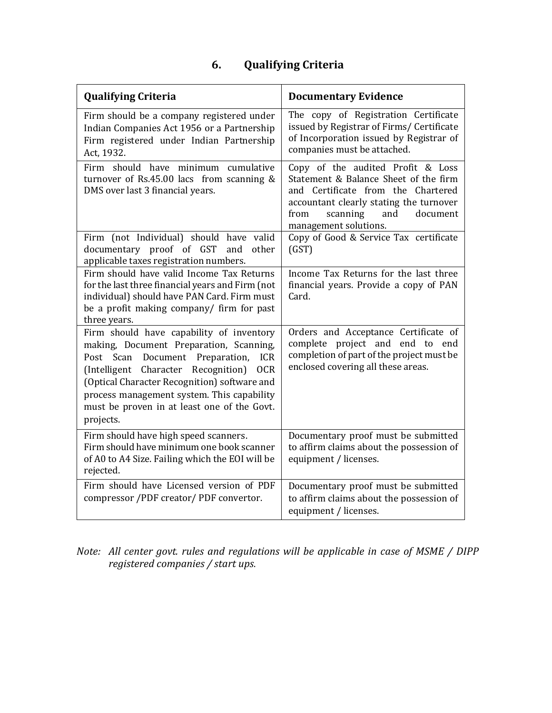# **6. Qualifying Criteria**

| <b>Qualifying Criteria</b>                                                                                                                                                                                                                                                                                                                | <b>Documentary Evidence</b>                                                                                                                                                                                                 |  |  |
|-------------------------------------------------------------------------------------------------------------------------------------------------------------------------------------------------------------------------------------------------------------------------------------------------------------------------------------------|-----------------------------------------------------------------------------------------------------------------------------------------------------------------------------------------------------------------------------|--|--|
| Firm should be a company registered under<br>Indian Companies Act 1956 or a Partnership<br>Firm registered under Indian Partnership<br>Act, 1932.                                                                                                                                                                                         | The copy of Registration Certificate<br>issued by Registrar of Firms/ Certificate<br>of Incorporation issued by Registrar of<br>companies must be attached.                                                                 |  |  |
| Firm should have minimum cumulative<br>turnover of Rs.45.00 lacs from scanning &<br>DMS over last 3 financial years.                                                                                                                                                                                                                      | Copy of the audited Profit & Loss<br>Statement & Balance Sheet of the firm<br>and Certificate from the Chartered<br>accountant clearly stating the turnover<br>from<br>document<br>scanning<br>and<br>management solutions. |  |  |
| Firm (not Individual) should have valid<br>documentary proof of GST<br>and<br>other<br>applicable taxes registration numbers.                                                                                                                                                                                                             | Copy of Good & Service Tax certificate<br>(GST)                                                                                                                                                                             |  |  |
| Firm should have valid Income Tax Returns<br>for the last three financial years and Firm (not<br>individual) should have PAN Card. Firm must<br>be a profit making company/ firm for past<br>three years.                                                                                                                                 | Income Tax Returns for the last three<br>financial years. Provide a copy of PAN<br>Card.                                                                                                                                    |  |  |
| Firm should have capability of inventory<br>making, Document Preparation, Scanning,<br>Post Scan Document Preparation, ICR<br>(Intelligent Character Recognition)<br><b>OCR</b><br>(Optical Character Recognition) software and<br>process management system. This capability<br>must be proven in at least one of the Govt.<br>projects. | Orders and Acceptance Certificate of<br>complete project and end to end<br>completion of part of the project must be<br>enclosed covering all these areas.                                                                  |  |  |
| Firm should have high speed scanners.<br>Firm should have minimum one book scanner<br>of A0 to A4 Size. Failing which the EOI will be<br>rejected.                                                                                                                                                                                        | Documentary proof must be submitted<br>to affirm claims about the possession of<br>equipment / licenses.                                                                                                                    |  |  |
| Firm should have Licensed version of PDF<br>compressor /PDF creator/ PDF convertor.                                                                                                                                                                                                                                                       | Documentary proof must be submitted<br>to affirm claims about the possession of<br>equipment / licenses.                                                                                                                    |  |  |

*Note: All center govt. rules and regulations will be applicable in case of MSME / DIPP registered companies / start ups*.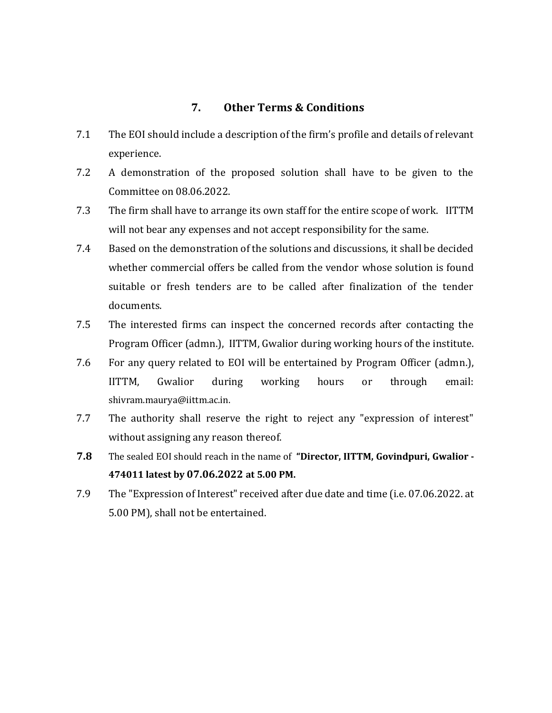#### **7. Other Terms & Conditions**

- 7.1 The EOI should include a description of the firm's profile and details of relevant experience.
- 7.2 A demonstration of the proposed solution shall have to be given to the Committee on 08.06.2022.
- 7.3 The firm shall have to arrange its own staff for the entire scope of work. IITTM will not bear any expenses and not accept responsibility for the same.
- 7.4 Based on the demonstration of the solutions and discussions, it shall be decided whether commercial offers be called from the vendor whose solution is found suitable or fresh tenders are to be called after finalization of the tender documents.
- 7.5 The interested firms can inspect the concerned records after contacting the Program Officer (admn.), IITTM, Gwalior during working hours of the institute.
- 7.6 For any query related to EOI will be entertained by Program Officer (admn.), IITTM, Gwalior during working hours or through email: [shivram.maurya@iittm.ac.in.](mailto:shivram.maurya@iittm.ac.in.)
- 7.7 The authority shall reserve the right to reject any "expression of interest" without assigning any reason thereof.
- **7.8** The sealed EOI should reach in the name of **"Director, IITTM, Govindpuri, Gwalior - 474011 latest by 07.06.2022 at 5.00 PM.**
- 7.9 The "Expression of Interest" received after due date and time (i.e. 07.06.2022. at 5.00 PM), shall not be entertained.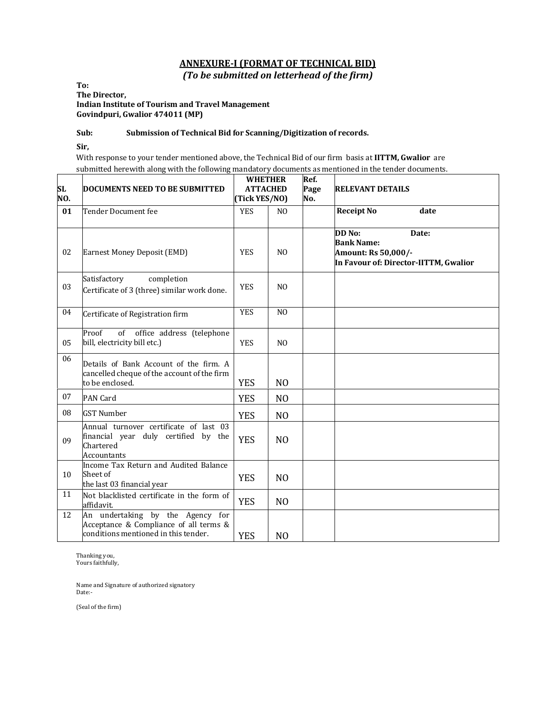### **ANNEXURE-I (FORMAT OF TECHNICAL BID)**

*(To be submitted on letterhead of the firm)*

**To: The Director, Indian Institute of Tourism and Travel Management Govindpuri, Gwalior 474011 (MP)** 

#### **Sub: Submission of Technical Bid for Scanning/Digitization of records.**

**Sir,**

With response to your tender mentioned above, the Technical Bid of our firm basis at **IITTM, Gwalior** are submitted herewith along with the following mandatory documents as mentioned in the tender documents.

| <b>SL</b><br>NO. | <b>DOCUMENTS NEED TO BE SUBMITTED</b>                                                                              | <b>WHETHER</b><br><b>ATTACHED</b><br>(Tick YES/NO) |                | Ref.<br>Page<br>No. | <b>RELEVANT DETAILS</b>                                                                              |  |  |
|------------------|--------------------------------------------------------------------------------------------------------------------|----------------------------------------------------|----------------|---------------------|------------------------------------------------------------------------------------------------------|--|--|
| 01               | Tender Document fee                                                                                                | <b>YES</b>                                         | N <sub>O</sub> |                     | <b>Receipt No</b><br>date                                                                            |  |  |
| 02               | Earnest Money Deposit (EMD)                                                                                        | <b>YES</b>                                         | N <sub>O</sub> |                     | DD No:<br>Date:<br><b>Bank Name:</b><br>Amount: Rs 50,000/-<br>In Favour of: Director-IITTM, Gwalior |  |  |
| 03               | Satisfactory<br>completion<br>Certificate of 3 (three) similar work done.                                          | <b>YES</b>                                         | N <sub>O</sub> |                     |                                                                                                      |  |  |
| 04               | Certificate of Registration firm                                                                                   | <b>YES</b>                                         | N <sub>O</sub> |                     |                                                                                                      |  |  |
| 05               | of<br>office address (telephone<br>Proof<br>bill, electricity bill etc.)                                           | <b>YES</b>                                         | N <sub>O</sub> |                     |                                                                                                      |  |  |
| 06               | Details of Bank Account of the firm. A<br>cancelled cheque of the account of the firm<br>to be enclosed.           | <b>YES</b>                                         | N <sub>0</sub> |                     |                                                                                                      |  |  |
| 07               | <b>PAN Card</b>                                                                                                    | <b>YES</b>                                         | N <sub>O</sub> |                     |                                                                                                      |  |  |
| 08               | <b>GST Number</b>                                                                                                  | <b>YES</b>                                         | N <sub>O</sub> |                     |                                                                                                      |  |  |
| 09               | Annual turnover certificate of last 03<br>financial year duly certified by the<br>Chartered<br><b>Accountants</b>  | <b>YES</b>                                         | N <sub>O</sub> |                     |                                                                                                      |  |  |
| 10               | Income Tax Return and Audited Balance<br>Sheet of<br>the last 03 financial year                                    | <b>YES</b>                                         | N <sub>O</sub> |                     |                                                                                                      |  |  |
| 11               | Not blacklisted certificate in the form of<br>affidavit.                                                           | <b>YES</b>                                         | N <sub>O</sub> |                     |                                                                                                      |  |  |
| 12               | An undertaking by the Agency for<br>Acceptance & Compliance of all terms &<br>conditions mentioned in this tender. | <b>YES</b>                                         | N <sub>0</sub> |                     |                                                                                                      |  |  |

Thanking you, Yours faithfully,

Name and Signature of authorized signatory Date:-

(Seal of the firm)